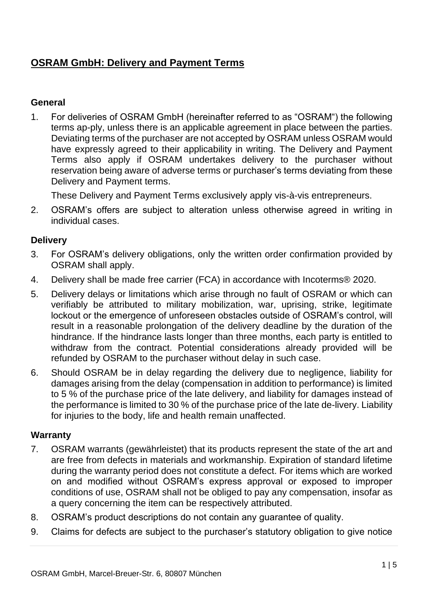# **OSRAM GmbH: Delivery and Payment Terms**

### **General**

1. For deliveries of OSRAM GmbH (hereinafter referred to as "OSRAM") the following terms ap-ply, unless there is an applicable agreement in place between the parties. Deviating terms of the purchaser are not accepted by OSRAM unless OSRAM would have expressly agreed to their applicability in writing. The Delivery and Payment Terms also apply if OSRAM undertakes delivery to the purchaser without reservation being aware of adverse terms or purchaser's terms deviating from these Delivery and Payment terms.

These Delivery and Payment Terms exclusively apply vis-à-vis entrepreneurs.

2. OSRAM's offers are subject to alteration unless otherwise agreed in writing in individual cases.

## **Delivery**

- 3. For OSRAM's delivery obligations, only the written order confirmation provided by OSRAM shall apply.
- 4. Delivery shall be made free carrier (FCA) in accordance with Incoterms® 2020.
- 5. Delivery delays or limitations which arise through no fault of OSRAM or which can verifiably be attributed to military mobilization, war, uprising, strike, legitimate lockout or the emergence of unforeseen obstacles outside of OSRAM's control, will result in a reasonable prolongation of the delivery deadline by the duration of the hindrance. If the hindrance lasts longer than three months, each party is entitled to withdraw from the contract. Potential considerations already provided will be refunded by OSRAM to the purchaser without delay in such case.
- 6. Should OSRAM be in delay regarding the delivery due to negligence, liability for damages arising from the delay (compensation in addition to performance) is limited to 5 % of the purchase price of the late delivery, and liability for damages instead of the performance is limited to 30 % of the purchase price of the late de-livery. Liability for injuries to the body, life and health remain unaffected.

### **Warranty**

- 7. OSRAM warrants (gewährleistet) that its products represent the state of the art and are free from defects in materials and workmanship. Expiration of standard lifetime during the warranty period does not constitute a defect. For items which are worked on and modified without OSRAM's express approval or exposed to improper conditions of use, OSRAM shall not be obliged to pay any compensation, insofar as a query concerning the item can be respectively attributed.
- 8. OSRAM's product descriptions do not contain any guarantee of quality.
- 9. Claims for defects are subject to the purchaser's statutory obligation to give notice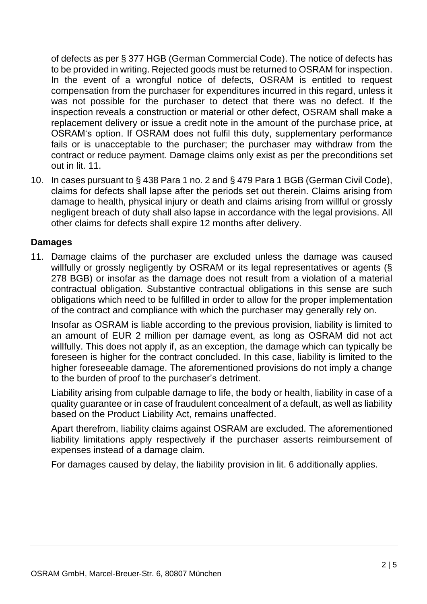of defects as per § 377 HGB (German Commercial Code). The notice of defects has to be provided in writing. Rejected goods must be returned to OSRAM for inspection. In the event of a wrongful notice of defects, OSRAM is entitled to request compensation from the purchaser for expenditures incurred in this regard, unless it was not possible for the purchaser to detect that there was no defect. If the inspection reveals a construction or material or other defect, OSRAM shall make a replacement delivery or issue a credit note in the amount of the purchase price, at OSRAM's option. If OSRAM does not fulfil this duty, supplementary performance fails or is unacceptable to the purchaser; the purchaser may withdraw from the contract or reduce payment. Damage claims only exist as per the preconditions set out in lit. 11.

10. In cases pursuant to § 438 Para 1 no. 2 and § 479 Para 1 BGB (German Civil Code), claims for defects shall lapse after the periods set out therein. Claims arising from damage to health, physical injury or death and claims arising from willful or grossly negligent breach of duty shall also lapse in accordance with the legal provisions. All other claims for defects shall expire 12 months after delivery.

#### **Damages**

11. Damage claims of the purchaser are excluded unless the damage was caused willfully or grossly negligently by OSRAM or its legal representatives or agents (§ 278 BGB) or insofar as the damage does not result from a violation of a material contractual obligation. Substantive contractual obligations in this sense are such obligations which need to be fulfilled in order to allow for the proper implementation of the contract and compliance with which the purchaser may generally rely on.

Insofar as OSRAM is liable according to the previous provision, liability is limited to an amount of EUR 2 million per damage event, as long as OSRAM did not act willfully. This does not apply if, as an exception, the damage which can typically be foreseen is higher for the contract concluded. In this case, liability is limited to the higher foreseeable damage. The aforementioned provisions do not imply a change to the burden of proof to the purchaser's detriment.

Liability arising from culpable damage to life, the body or health, liability in case of a quality guarantee or in case of fraudulent concealment of a default, as well as liability based on the Product Liability Act, remains unaffected.

Apart therefrom, liability claims against OSRAM are excluded. The aforementioned liability limitations apply respectively if the purchaser asserts reimbursement of expenses instead of a damage claim.

For damages caused by delay, the liability provision in lit. 6 additionally applies.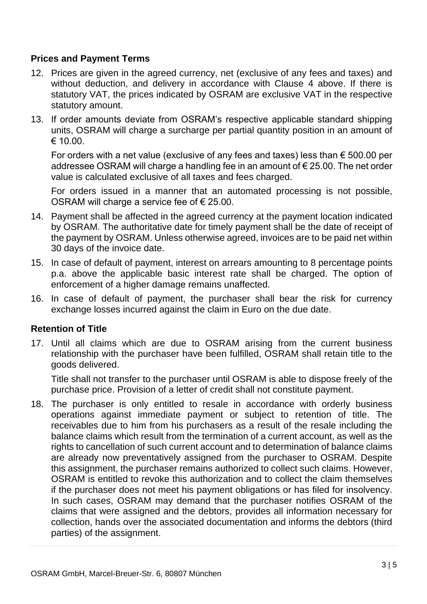### **Prices and Payment Terms**

- 12. Prices are given in the agreed currency, net (exclusive of any fees and taxes) and without deduction, and delivery in accordance with Clause 4 above. If there is statutory VAT, the prices indicated by OSRAM are exclusive VAT in the respective statutory amount.
- 13. If order amounts deviate from OSRAM's respective applicable standard shipping units, OSRAM will charge a surcharge per partial quantity position in an amount of  $\epsilon$  10.00.

For orders with a net value (exclusive of any fees and taxes) less than  $\epsilon$  500.00 per addressee OSRAM will charge a handling fee in an amount of € 25.00. The net order value is calculated exclusive of all taxes and fees charged.

For orders issued in a manner that an automated processing is not possible, OSRAM will charge a service fee of € 25.00.

- 14. Payment shall be affected in the agreed currency at the payment location indicated by OSRAM. The authoritative date for timely payment shall be the date of receipt of the payment by OSRAM. Unless otherwise agreed, invoices are to be paid net within 30 days of the invoice date.
- 15. In case of default of payment, interest on arrears amounting to 8 percentage points p.a. above the applicable basic interest rate shall be charged. The option of enforcement of a higher damage remains unaffected.
- 16. In case of default of payment, the purchaser shall bear the risk for currency exchange losses incurred against the claim in Euro on the due date.

### **Retention of Title**

17. Until all claims which are due to OSRAM arising from the current business relationship with the purchaser have been fulfilled, OSRAM shall retain title to the goods delivered.

Title shall not transfer to the purchaser until OSRAM is able to dispose freely of the purchase price. Provision of a letter of credit shall not constitute payment.

18. The purchaser is only entitled to resale in accordance with orderly business operations against immediate payment or subject to retention of title. The receivables due to him from his purchasers as a result of the resale including the balance claims which result from the termination of a current account, as well as the rights to cancellation of such current account and to determination of balance claims are already now preventatively assigned from the purchaser to OSRAM. Despite this assignment, the purchaser remains authorized to collect such claims. However, OSRAM is entitled to revoke this authorization and to collect the claim themselves if the purchaser does not meet his payment obligations or has filed for insolvency. In such cases, OSRAM may demand that the purchaser notifies OSRAM of the claims that were assigned and the debtors, provides all information necessary for collection, hands over the associated documentation and informs the debtors (third parties) of the assignment.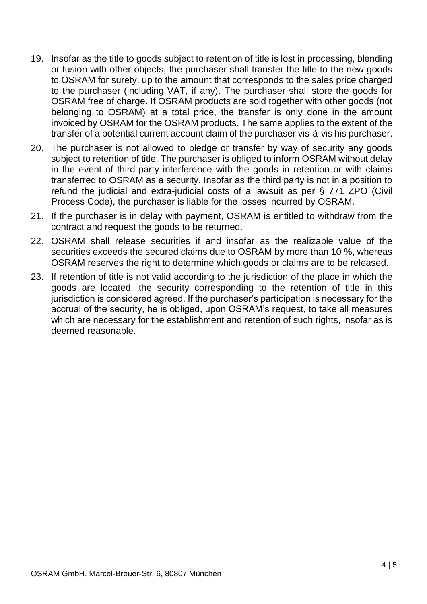- 19. Insofar as the title to goods subject to retention of title is lost in processing, blending or fusion with other objects, the purchaser shall transfer the title to the new goods to OSRAM for surety, up to the amount that corresponds to the sales price charged to the purchaser (including VAT, if any). The purchaser shall store the goods for OSRAM free of charge. If OSRAM products are sold together with other goods (not belonging to OSRAM) at a total price, the transfer is only done in the amount invoiced by OSRAM for the OSRAM products. The same applies to the extent of the transfer of a potential current account claim of the purchaser vis-à-vis his purchaser.
- 20. The purchaser is not allowed to pledge or transfer by way of security any goods subject to retention of title. The purchaser is obliged to inform OSRAM without delay in the event of third-party interference with the goods in retention or with claims transferred to OSRAM as a security. Insofar as the third party is not in a position to refund the judicial and extra-judicial costs of a lawsuit as per § 771 ZPO (Civil Process Code), the purchaser is liable for the losses incurred by OSRAM.
- 21. If the purchaser is in delay with payment, OSRAM is entitled to withdraw from the contract and request the goods to be returned.
- 22. OSRAM shall release securities if and insofar as the realizable value of the securities exceeds the secured claims due to OSRAM by more than 10 %, whereas OSRAM reserves the right to determine which goods or claims are to be released.
- 23. If retention of title is not valid according to the jurisdiction of the place in which the goods are located, the security corresponding to the retention of title in this jurisdiction is considered agreed. If the purchaser's participation is necessary for the accrual of the security, he is obliged, upon OSRAM's request, to take all measures which are necessary for the establishment and retention of such rights, insofar as is deemed reasonable.